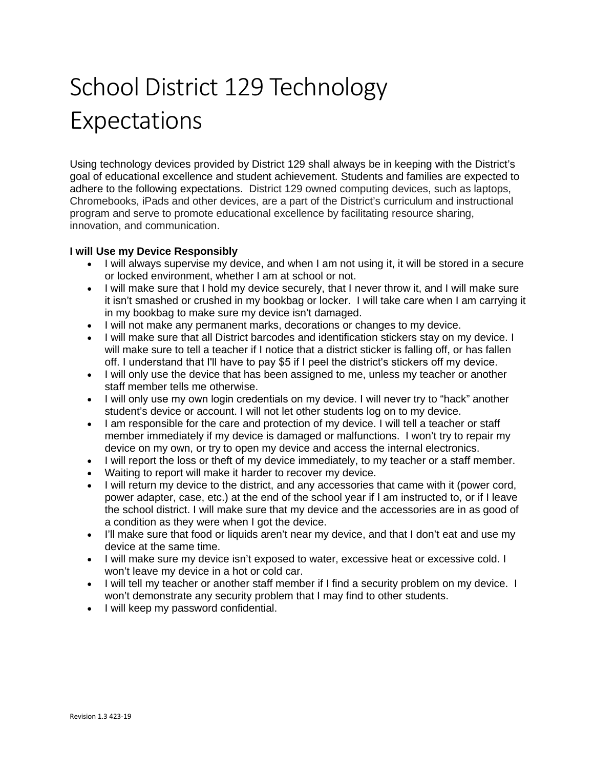# School District 129 Technology Expectations

Using technology devices provided by District 129 shall always be in keeping with the District's goal of educational excellence and student achievement. Students and families are expected to adhere to the following expectations. District 129 owned computing devices, such as laptops, Chromebooks, iPads and other devices, are a part of the District's curriculum and instructional program and serve to promote educational excellence by facilitating resource sharing, innovation, and communication.

# **I will Use my Device Responsibly**

- I will always supervise my device, and when I am not using it, it will be stored in a secure or locked environment, whether I am at school or not.
- I will make sure that I hold my device securely, that I never throw it, and I will make sure it isn't smashed or crushed in my bookbag or locker. I will take care when I am carrying it in my bookbag to make sure my device isn't damaged.
- I will not make any permanent marks, decorations or changes to my device.
- I will make sure that all District barcodes and identification stickers stay on my device. I will make sure to tell a teacher if I notice that a district sticker is falling off, or has fallen off. I understand that I'll have to pay \$5 if I peel the district's stickers off my device.
- I will only use the device that has been assigned to me, unless my teacher or another staff member tells me otherwise.
- I will only use my own login credentials on my device. I will never try to "hack" another student's device or account. I will not let other students log on to my device.
- I am responsible for the care and protection of my device. I will tell a teacher or staff member immediately if my device is damaged or malfunctions. I won't try to repair my device on my own, or try to open my device and access the internal electronics.
- I will report the loss or theft of my device immediately, to my teacher or a staff member.
- Waiting to report will make it harder to recover my device.
- I will return my device to the district, and any accessories that came with it (power cord, power adapter, case, etc.) at the end of the school year if I am instructed to, or if I leave the school district. I will make sure that my device and the accessories are in as good of a condition as they were when I got the device.
- I'll make sure that food or liquids aren't near my device, and that I don't eat and use my device at the same time.
- I will make sure my device isn't exposed to water, excessive heat or excessive cold. I won't leave my device in a hot or cold car.
- I will tell my teacher or another staff member if I find a security problem on my device. I won't demonstrate any security problem that I may find to other students.
- I will keep my password confidential.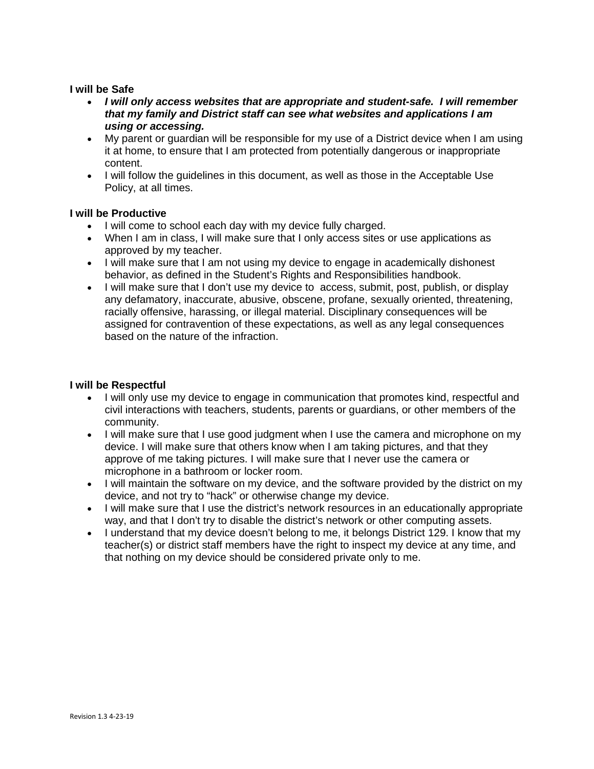#### **I will be Safe**

- *I will only access websites that are appropriate and student-safe. I will remember that my family and District staff can see what websites and applications I am using or accessing.*
- My parent or guardian will be responsible for my use of a District device when I am using it at home, to ensure that I am protected from potentially dangerous or inappropriate content.
- I will follow the guidelines in this document, as well as those in the Acceptable Use Policy, at all times.

# **I will be Productive**

- I will come to school each day with my device fully charged.
- When I am in class, I will make sure that I only access sites or use applications as approved by my teacher.
- I will make sure that I am not using my device to engage in academically dishonest behavior, as defined in the Student's Rights and Responsibilities handbook.
- I will make sure that I don't use my device to access, submit, post, publish, or display any defamatory, inaccurate, abusive, obscene, profane, sexually oriented, threatening, racially offensive, harassing, or illegal material. Disciplinary consequences will be assigned for contravention of these expectations, as well as any legal consequences based on the nature of the infraction.

#### **I will be Respectful**

- I will only use my device to engage in communication that promotes kind, respectful and civil interactions with teachers, students, parents or guardians, or other members of the community.
- I will make sure that I use good judgment when I use the camera and microphone on my device. I will make sure that others know when I am taking pictures, and that they approve of me taking pictures. I will make sure that I never use the camera or microphone in a bathroom or locker room.
- I will maintain the software on my device, and the software provided by the district on my device, and not try to "hack" or otherwise change my device.
- I will make sure that I use the district's network resources in an educationally appropriate way, and that I don't try to disable the district's network or other computing assets.
- I understand that my device doesn't belong to me, it belongs District 129. I know that my teacher(s) or district staff members have the right to inspect my device at any time, and that nothing on my device should be considered private only to me.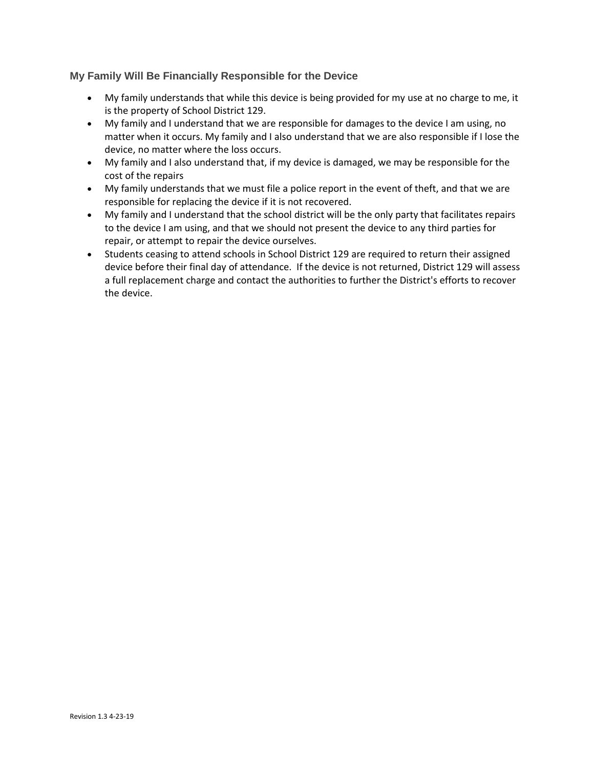# **My Family Will Be Financially Responsible for the Device**

- My family understands that while this device is being provided for my use at no charge to me, it is the property of School District 129.
- My family and I understand that we are responsible for damages to the device I am using, no matter when it occurs. My family and I also understand that we are also responsible if I lose the device, no matter where the loss occurs.
- My family and I also understand that, if my device is damaged, we may be responsible for the cost of the repairs
- My family understands that we must file a police report in the event of theft, and that we are responsible for replacing the device if it is not recovered.
- My family and I understand that the school district will be the only party that facilitates repairs to the device I am using, and that we should not present the device to any third parties for repair, or attempt to repair the device ourselves.
- Students ceasing to attend schools in School District 129 are required to return their assigned device before their final day of attendance. If the device is not returned, District 129 will assess a full replacement charge and contact the authorities to further the District's efforts to recover the device.